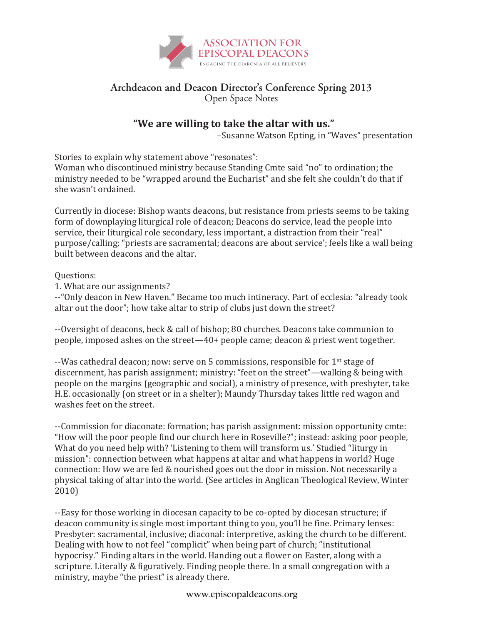

## **Archdeacon and Deacon Director's Conference Spring 2013** Open Space Notes

## **"We are willing to take the altar with us."**

–Susanne Watson Epting, in "Waves" presentation

Stories to explain why statement above "resonates":

Woman who discontinued ministry because Standing Cmte said "no" to ordination; the ministry needed to be "wrapped around the Eucharist" and she felt she couldn't do that if she wasn't ordained.

Currently in diocese: Bishop wants deacons, but resistance from priests seems to be taking form of downplaying liturgical role of deacon; Deacons do service, lead the people into service, their liturgical role secondary, less important, a distraction from their "real" purpose/calling; "priests are sacramental; deacons are about service'; feels like a wall being built between deacons and the altar.

## Questions:

1. What are our assignments?

--"Only deacon in New Haven." Became too much intineracy. Part of ecclesia: "already took altar out the door"; how take altar to strip of clubs just down the street?

--Oversight of deacons, beck & call of bishop; 80 churches. Deacons take communion to people, imposed ashes on the street—40+ people came; deacon & priest went together.

--Was cathedral deacon; now: serve on 5 commissions, responsible for 1<sup>st</sup> stage of discernment, has parish assignment; ministry: "feet on the street"—walking & being with people on the margins (geographic and social), a ministry of presence, with presbyter, take H.E. occasionally (on street or in a shelter); Maundy Thursday takes little red wagon and washes feet on the street.

--Commission for diaconate: formation; has parish assignment: mission opportunity cmte: "How will the poor people find our church here in Roseville?"; instead: asking poor people, What do you need help with? 'Listening to them will transform us.' Studied "liturgy in mission": connection between what happens at altar and what happens in world? Huge connection: How we are fed & nourished goes out the door in mission. Not necessarily a physical taking of altar into the world. (See articles in Anglican Theological Review, Winter 2010)

--Easy for those working in diocesan capacity to be co-opted by diocesan structure; if deacon community is single most important thing to you, you'll be fine. Primary lenses: Presbyter: sacramental, inclusive; diaconal: interpretive, asking the church to be different. Dealing with how to not feel "complicit" when being part of church; "institutional hypocrisy." Finding altars in the world. Handing out a flower on Easter, along with a scripture. Literally & figuratively. Finding people there. In a small congregation with a ministry, maybe "the priest" is already there.